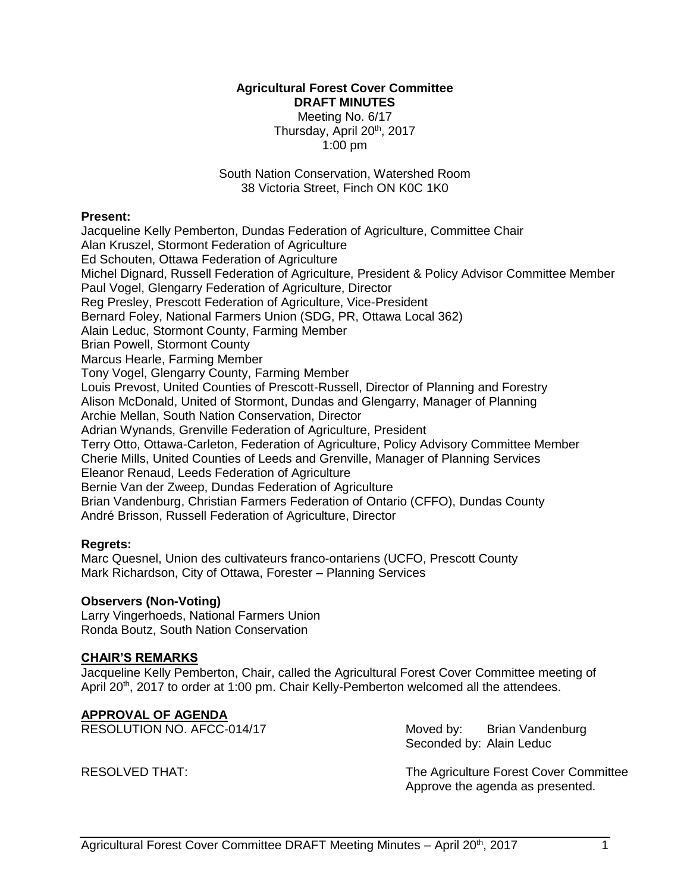# **Agricultural Forest Cover Committee DRAFT MINUTES** Meeting No. 6/17 Thursday, April 20<sup>th</sup>, 2017 1:00 pm

South Nation Conservation, Watershed Room 38 Victoria Street, Finch ON K0C 1K0

#### **Present:**

Jacqueline Kelly Pemberton, Dundas Federation of Agriculture, Committee Chair Alan Kruszel, Stormont Federation of Agriculture Ed Schouten, Ottawa Federation of Agriculture Michel Dignard, Russell Federation of Agriculture, President & Policy Advisor Committee Member Paul Vogel, Glengarry Federation of Agriculture, Director Reg Presley, Prescott Federation of Agriculture, Vice-President Bernard Foley, National Farmers Union (SDG, PR, Ottawa Local 362) Alain Leduc, Stormont County, Farming Member Brian Powell, Stormont County Marcus Hearle, Farming Member Tony Vogel, Glengarry County, Farming Member Louis Prevost, United Counties of Prescott-Russell, Director of Planning and Forestry Alison McDonald, United of Stormont, Dundas and Glengarry, Manager of Planning Archie Mellan, South Nation Conservation, Director Adrian Wynands, Grenville Federation of Agriculture, President Terry Otto, Ottawa-Carleton, Federation of Agriculture, Policy Advisory Committee Member Cherie Mills, United Counties of Leeds and Grenville, Manager of Planning Services Eleanor Renaud, Leeds Federation of Agriculture Bernie Van der Zweep, Dundas Federation of Agriculture Brian Vandenburg, Christian Farmers Federation of Ontario (CFFO), Dundas County André Brisson, Russell Federation of Agriculture, Director

#### **Regrets:**

Marc Quesnel, Union des cultivateurs franco-ontariens (UCFO, Prescott County Mark Richardson, City of Ottawa, Forester – Planning Services

#### **Observers (Non-Voting)**

Larry Vingerhoeds, National Farmers Union Ronda Boutz, South Nation Conservation

#### **CHAIR'S REMARKS**

Jacqueline Kelly Pemberton, Chair, called the Agricultural Forest Cover Committee meeting of April 20<sup>th</sup>, 2017 to order at 1:00 pm. Chair Kelly-Pemberton welcomed all the attendees.

# **APPROVAL OF AGENDA**

RESOLUTION NO. AFCC-014/17 Moved by: Brian Vandenburg

Seconded by: Alain Leduc

RESOLVED THAT: The Agriculture Forest Cover Committee Approve the agenda as presented.